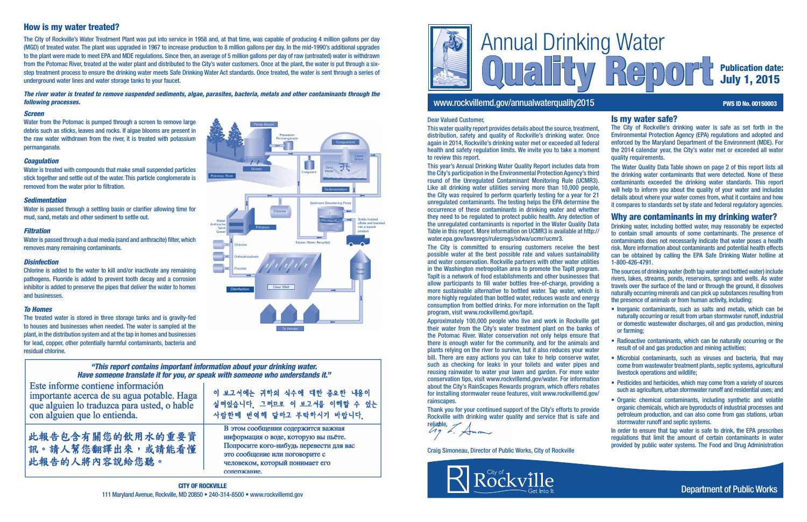

# www.rockvillemd.gov/annualwaterquality2015 **PWS ID No. 00150003** PWS ID No. 00150003

# Publication date: July 1, 2015

# Is my water safe?

The City of Rockville's drinking water is safe as set forth in the Environmental Protection Agency (EPA) regulations and adopted and enforced by the Maryland Department of the Environment (MDE). For the 2014 calendar year, the City's water met or exceeded all water quality requirements.

The Water Quality Data Table shown on page 2 of this report lists all the drinking water contaminants that were detected. None of these contaminants exceeded the drinking water standards. This report will help to inform you about the quality of your water and includes details about where your water comes from, what it contains and how it compares to standards set by state and federal regulatory agencies.

# Why are contaminants in my drinking water?

Drinking water, including bottled water, may reasonably be expected to contain small amounts of some contaminants. The presence of contaminants does not necessarily indicate that water poses a health risk. More information about contaminants and potential health effects can be obtained by calling the EPA Safe Drinking Water hotline at 1-800-426-4791.

The sources of drinking water (both tap water and bottled water) include rivers, lakes, streams, ponds, reservoirs, springs and wells. As water travels over the surface of the land or through the ground, it dissolves naturally occurring minerals and can pick up substances resulting from the presence of animals or from human activity, including:

- Inorganic contaminants, such as salts and metals, which can be naturally occurring or result from urban stormwater runoff, industrial or domestic wastewater discharges, oil and gas production, mining or farming;
- Radioactive contaminants, which can be naturally occurring or the result of oil and gas production and mining activities;
- Microbial contaminants, such as viruses and bacteria, that may come from wastewater treatment plants, septic systems, agricultural livestock operations and wildlife;
- Pesticides and herbicides, which may come from a variety of sources such as agriculture, urban stormwater runoff and residential uses; and
- Organic chemical contaminants, including synthetic and volatile organic chemicals, which are byproducts of industrial processes and petroleum production, and can also come from gas stations, urban stormwater runoff and septic systems.

In order to ensure that tap water is safe to drink, the EPA prescribes regulations that limit the amount of certain contaminants in water provided by public water systems. The Food and Drug Administration

## *Screen*

Water from the Potomac is pumped through a screen to remove large debris such as sticks, leaves and rocks. If algae blooms are present in the raw water withdrawn from the river, it is treated with potassium permanganate.

## *Coagulation*

Water is treated with compounds that make small suspended particles stick together and settle out of the water. This particle conglomerate is removed from the water prior to filtration.

## *Sedimentation*

Water is passed through a settling basin or clarifier allowing time for mud, sand, metals and other sediment to settle out.

## *Filtration*

Water is passed through a dual media (sand and anthracite) filter, which removes many remaining contaminants.

## *Disinfection*

Chlorine is added to the water to kill and/or inactivate any remaining pathogens. Fluoride is added to prevent tooth decay and a corrosion inhibitor is added to preserve the pipes that deliver the water to homes and businesses.

## *To Homes*

The treated water is stored in three storage tanks and is gravity-fed to houses and businesses when needed. The water is sampled at the plant, in the distribution system and at the tap in homes and businesses for lead, copper, other potentially harmful contaminants, bacteria and residual chlorine.

# "This report contains important information about your drinking water. Have someone translate it for you, or speak with someone who understands it."

**Disinfection** 

Este informe contiene información importante acerca de su agua potable. Haga que alguien lo traduzca para usted, o hable con alguien que lo entienda.

此報告包含有關您的飲用水的重要資 訊。請人幫您翻譯出來,或請能看懂 此報告的人將內容說給您聽。

이 보고서에는 귀하의 식수에 대한 중요한 내용이 실려있습니다 그러므로 이 보고서를 이해할 수 있는 사람한테 번역해 달라고 부탁하시기 바랍니다.

m

**Excess Water Recycled** 

**Sediment Dewatering Press** 

В этом сообщении содержится важная информация о воде, которую вы пьёте. Попросите кого-нибудь перевести для вас это сообщение или поговорите с человеком, который понимает его сопержание.

# How is my water treated?

The City of Rockville's Water Treatment Plant was put into service in 1958 and, at that time, was capable of producing 4 million gallons per day (MGD) of treated water. The plant was upgraded in 1967 to increase production to 8 million gallons per day. In the mid-1990's additional upgrades to the plant were made to meet EPA and MDE regulations. Since then, an average of 5 million gallons per day of raw (untreated) water is withdrawn from the Potomac River, treated at the water plant and distributed to the City's water customers. Once at the plant, the water is put through a sixstep treatment process to ensure the drinking water meets Safe Drinking Water Act standards. Once treated, the water is sent through a series of underground water lines and water storage tanks to your faucet.

*The river water is treated to remove suspended sediments, algae, parasites, bacteria, metals and other contaminants through the following processes.*

### Dear Valued Customer,

This water quality report provides details about the source, treatment, distribution, safety and quality of Rockville's drinking water. Once again in 2014, Rockville's drinking water met or exceeded all federal health and safety regulation limits. We invite you to take a moment to review this report.

This year's Annual Drinking Water Quality Report includes data from the City's participation in the Environmental Protection Agency's third round of the Unregulated Contaminant Monitoring Rule (UCMR3). Like all drinking water utilities serving more than 10,000 people, the City was required to perform quarterly testing for a year for 21 unregulated contaminants. The testing helps the EPA determine the occurrence of these contaminants in drinking water and whether they need to be regulated to protect public health. Any detection of the unregulated contaminants is reported in the Water Quality Data Table in this report. More information on UCMR3 is available at http:// water.epa.gov/lawsregs/rulesregs/sdwa/ucmr/ucmr3.

The City is committed to ensuring customers receive the best possible water at the best possible rate and values sustainability and water conservation. Rockville partners with other water utilities in the Washington metropolitan area to promote the TapIt program. TapIt is a network of food establishments and other businesses that allow participants to fill water bottles free-of-charge, providing a more sustainable alternative to bottled water. Tap water, which is more highly regulated than bottled water, reduces waste and energy consumption from bottled drinks. For more information on the TapIt program, visit www.rockvillemd.gov/tapit.

Approximately 100,000 people who live and work in Rockville get their water from the City's water treatment plant on the banks of the Potomac River. Water conservation not only helps ensure that there is enough water for the community, and for the animals and plants relying on the river to survive, but it also reduces your water bill. There are easy actions you can take to help conserve water, such as checking for leaks in your toilets and water pipes and reusing rainwater to water your lawn and garden. For more water conservation tips, visit www.rockvillemd.gov/water. For information about the City's RainScapes Rewards program, which offers rebates for installing stormwater reuse features, visit www.rockvillemd.gov/ rainscapes.

Thank you for your continued support of the City's efforts to provide Rockville with drinking water quality and service that is safe and

reliable.

Craig Simoneau, Director of Public Works, City of Rockville



Solids trucked offsite and blended into a topsoil product

Department of Public Works